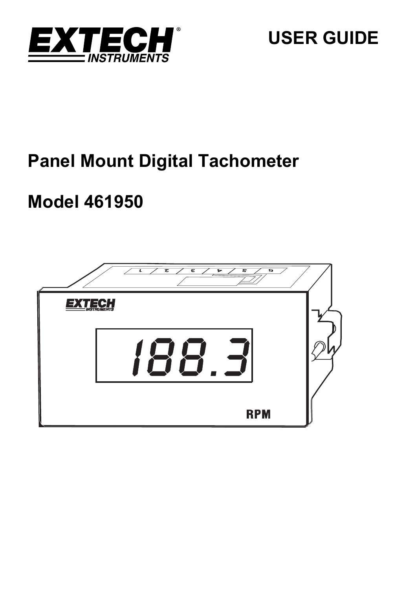

# **Panel Mount Digital Tachometer**

# **Model 461950**

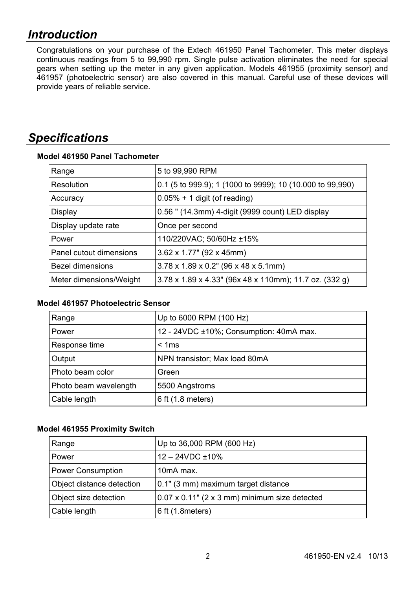# *Introduction*

Congratulations on your purchase of the Extech 461950 Panel Tachometer. This meter displays continuous readings from 5 to 99,990 rpm. Single pulse activation eliminates the need for special gears when setting up the meter in any given application. Models 461955 (proximity sensor) and 461957 (photoelectric sensor) are also covered in this manual. Careful use of these devices will provide years of reliable service.

# *Specifications*

| Range                   | 5 to 99,990 RPM                                           |  |
|-------------------------|-----------------------------------------------------------|--|
| Resolution              | 0.1 (5 to 999.9); 1 (1000 to 9999); 10 (10.000 to 99,990) |  |
| Accuracy                | $0.05\% + 1$ digit (of reading)                           |  |
| Display                 | 0.56 " (14.3mm) 4-digit (9999 count) LED display          |  |
| Display update rate     | Once per second                                           |  |
| Power                   | 110/220VAC; 50/60Hz ±15%                                  |  |
| Panel cutout dimensions | 3.62 x 1.77" (92 x 45mm)                                  |  |
| <b>Bezel dimensions</b> | $3.78 \times 1.89 \times 0.2$ " (96 x 48 x 5.1mm)         |  |
| Meter dimensions/Weight | 3.78 x 1.89 x 4.33" (96x 48 x 110mm); 11.7 oz. (332 g)    |  |

# **Model 461950 Panel Tachometer**

# **Model 461957 Photoelectric Sensor**

| Range                 | Up to 6000 RPM (100 Hz)                 |
|-----------------------|-----------------------------------------|
| Power                 | 12 - 24VDC ±10%; Consumption: 40mA max. |
| Response time         | < 1ms                                   |
| Output                | NPN transistor; Max load 80mA           |
| Photo beam color      | Green                                   |
| Photo beam wavelength | 5500 Angstroms                          |
| Cable length          | 6 ft (1.8 meters)                       |

## **Model 461955 Proximity Switch**

| Range                     | Up to 36,000 RPM (600 Hz)                             |
|---------------------------|-------------------------------------------------------|
| Power                     | $12 - 24$ VDC $\pm$ 10%                               |
| Power Consumption         | 10 <sub>m</sub> A max.                                |
| Object distance detection | 0.1" (3 mm) maximum target distance                   |
| Object size detection     | $0.07 \times 0.11$ " (2 x 3 mm) minimum size detected |
| Cable length              | 6 ft (1.8 meters)                                     |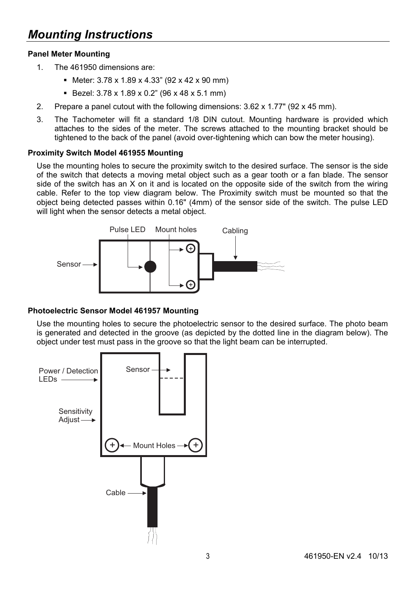# **Panel Meter Mounting**

- 1. The 461950 dimensions are:
	- Meter:  $3.78 \times 1.89 \times 4.33$ " (92 x 42 x 90 mm)
	- Bezel: 3.78 x 1.89 x 0.2" (96 x 48 x 5.1 mm)
- 2. Prepare a panel cutout with the following dimensions: 3.62 x 1.77" (92 x 45 mm).
- 3. The Tachometer will fit a standard 1/8 DIN cutout. Mounting hardware is provided which attaches to the sides of the meter. The screws attached to the mounting bracket should be tightened to the back of the panel (avoid over-tightening which can bow the meter housing).

## **Proximity Switch Model 461955 Mounting**

Use the mounting holes to secure the proximity switch to the desired surface. The sensor is the side of the switch that detects a moving metal object such as a gear tooth or a fan blade. The sensor side of the switch has an X on it and is located on the opposite side of the switch from the wiring cable. Refer to the top view diagram below. The Proximity switch must be mounted so that the object being detected passes within 0.16" (4mm) of the sensor side of the switch. The pulse LED will light when the sensor detects a metal object.



## **Photoelectric Sensor Model 461957 Mounting**

Use the mounting holes to secure the photoelectric sensor to the desired surface. The photo beam is generated and detected in the groove (as depicted by the dotted line in the diagram below). The object under test must pass in the groove so that the light beam can be interrupted.

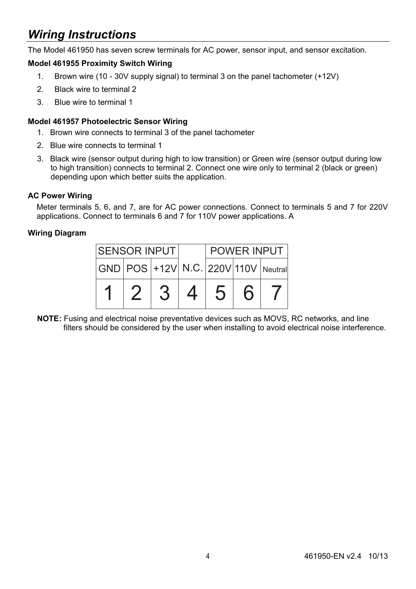# *Wiring Instructions*

The Model 461950 has seven screw terminals for AC power, sensor input, and sensor excitation.

# **Model 461955 Proximity Switch Wiring**

- 1. Brown wire (10 30V supply signal) to terminal 3 on the panel tachometer (+12V)
- 2. Black wire to terminal 2
- 3. Blue wire to terminal 1

### **Model 461957 Photoelectric Sensor Wiring**

- 1. Brown wire connects to terminal 3 of the panel tachometer
- 2. Blue wire connects to terminal 1
- 3. Black wire (sensor output during high to low transition) or Green wire (sensor output during low to high transition) connects to terminal 2. Connect one wire only to terminal 2 (black or green) depending upon which better suits the application.

#### **AC Power Wiring**

Meter terminals 5, 6, and 7, are for AC power connections. Connect to terminals 5 and 7 for 220V applications. Connect to terminals 6 and 7 for 110V power applications. A

## **Wiring Diagram**



**NOTE:** Fusing and electrical noise preventative devices such as MOVS, RC networks, and line filters should be considered by the user when installing to avoid electrical noise interference.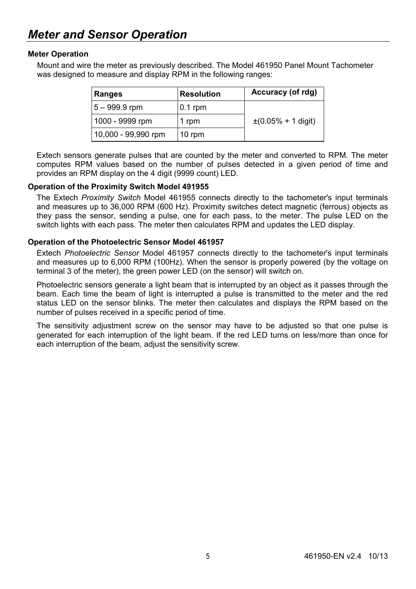### **Meter Operation**

Mount and wire the meter as previously described. The Model 461950 Panel Mount Tachometer was designed to measure and display RPM in the following ranges:

| Ranges              | Resolution | Accuracy (of rdg)        |
|---------------------|------------|--------------------------|
| $5 - 999.9$ rpm     | $0.1$ rpm  |                          |
| 1000 - 9999 rpm     | 1 rpm      | $\pm (0.05\% + 1$ digit) |
| 10,000 - 99,990 rpm | 10 rpm     |                          |

Extech sensors generate pulses that are counted by the meter and converted to RPM. The meter computes RPM values based on the number of pulses detected in a given period of time and provides an RPM display on the 4 digit (9999 count) LED.

#### **Operation of the Proximity Switch Model 491955**

The Extech *Proximity Switch* Model 461955 connects directly to the tachometer's input terminals and measures up to 36,000 RPM (600 Hz). Proximity switches detect magnetic (ferrous) objects as they pass the sensor, sending a pulse, one for each pass, to the meter. The pulse LED on the switch lights with each pass. The meter then calculates RPM and updates the LED display.

#### **Operation of the Photoelectric Sensor Model 461957**

Extech *Photoelectric Sensor* Model 461957 connects directly to the tachometer's input terminals and measures up to 6,000 RPM (100Hz). When the sensor is properly powered (by the voltage on terminal 3 of the meter), the green power LED (on the sensor) will switch on.

Photoelectric sensors generate a light beam that is interrupted by an object as it passes through the beam. Each time the beam of light is interrupted a pulse is transmitted to the meter and the red status LED on the sensor blinks. The meter then calculates and displays the RPM based on the number of pulses received in a specific period of time.

The sensitivity adjustment screw on the sensor may have to be adjusted so that one pulse is generated for each interruption of the light beam. If the red LED turns on less/more than once for each interruption of the beam, adjust the sensitivity screw.